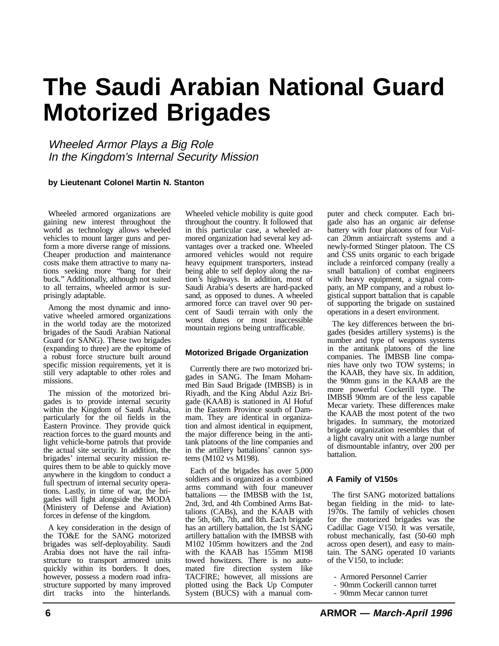# **The Saudi Arabian National Guard Motorized Brigades**

Wheeled Armor Plays a Big Role In the Kingdom's Internal Security Mission

#### **by Lieutenant Colonel Martin N. Stanton**

Wheeled armored organizations are gaining new interest throughout the world as technology allows wheeled vehicles to mount larger guns and perform a more diverse range of missions. Cheaper production and maintenance costs make them attractive to many nations seeking more "bang for their buck." Additionally, although not suited to all terrains, wheeled armor is surprisingly adaptable.

Among the most dynamic and innovative wheeled armored organizations in the world today are the motorized brigades of the Saudi Arabian National Guard (or SANG). These two brigades (expanding to three) are the epitome of a robust force structure built around specific mission requirements, yet it is still very adaptable to other roles and missions.

The mission of the motorized brigades is to provide internal security within the Kingdom of Saudi Arabia, particularly for the oil fields in the Eastern Province. They provide quick reaction forces to the guard mounts and light vehicle-borne patrols that provide the actual site security. In addition, the brigades' internal security mission requires them to be able to quickly move anywhere in the kingdom to conduct a full spectrum of internal security operations. Lastly, in time of war, the brigades will fight alongside the MODA (Ministery of Defense and Aviation) forces in defense of the kingdom.

A key consideration in the design of the TO&E for the SANG motorized brigades was self-deployability. Saudi Arabia does not have the rail infrastructure to transport armored units quickly within its borders. It does, however, possess a modern road infrastructure supported by many improved dirt tracks into the hinterlands. Wheeled vehicle mobility is quite good throughout the country. It followed that in this particular case, a wheeled armored organization had several key advantages over a tracked one. Wheeled armored vehicles would not require heavy equipment transporters, instead being able to self deploy along the nation's highways. In addition, most of Saudi Arabia's deserts are hard-packed sand, as opposed to dunes. A wheeled armored force can travel over 90 percent of Saudi terrain with only the worst dunes or most inaccessible mountain regions being untrafficable.

### **Motorized Brigade Organization**

Currently there are two motorized brigades in SANG. The Imam Mohammed Bin Saud Brigade (IMBSB) is in Riyadh, and the King Abdul Aziz Brigade (KAAB) is stationed in Al Hofuf in the Eastern Province south of Dammam. They are identical in organization and almost identical in equipment, the major difference being in the antitank platoons of the line companies and in the artillery battalions' cannon systems (M102 vs M198).

Each of the brigades has over 5,000 soldiers and is organized as a combined arms command with four maneuver battalions — the IMBSB with the 1st, 2nd, 3rd, and 4th Combined Arms Battalions (CABs), and the KAAB with the 5th, 6th, 7th, and 8th. Each brigade has an artillery battalion, the 1st SANG artillery battalion with the IMBSB with M102 105mm howitzers and the 2nd with the KAAB has 155mm M198 towed howitzers. There is no automated fire direction system like TACFlRE; however, all missions are plotted using the Back Up Computer System (BUCS) with a manual com-

puter and check computer. Each brigade also has an organic air defense battery with four platoons of four Vulcan 20mm antiaircraft systems and a newly-formed Stinger platoon. The CS and CSS units organic to each brigade include a reinforced company (really a small battalion) of combat engineers with heavy equipment, a signal company, an MP company, and a robust logistical support battalion that is capable of supporting the brigade on sustained operations in a desert environment.

The key differences between the brigades (besides artillery systems) is the number and type of weapons systems in the antitank platoons of the line companies. The IMBSB line companies have only two TOW systems; in the KAAB, they have six. In addition, the 90mm guns in the KAAB are the more powerful Cockerill type. The IMBSB 90mm are of the less capable Mecar variety. These differences make the KAAB the most potent of the two brigades. In summary, the motorized brigade organization resembles that of a light cavalry unit with a large number of dismountable infantry, over 200 per battalion.

### **A Family of V150s**

The first SANG motorized battalions began fielding in the mid- to late-1970s. The family of vehicles chosen for the motorized brigades was the Cadillac Gage V150. It was versatile, robust mechanically, fast (50-60 mph across open desert), and easy to maintain. The SANG operated 10 variants of the V150, to include:

- Armored Personnel Carrier
- 90mm Cockerill cannon turret
- 90mm Mecar cannon turret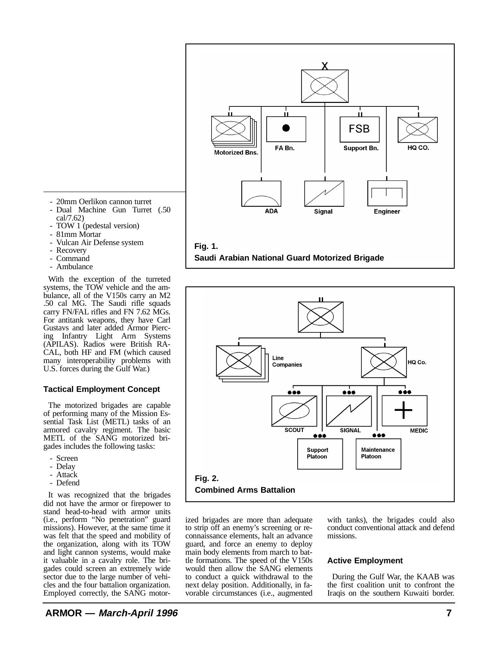$\mathbf{H}$ FSB FA Bn. HO CO. Support Bn. **Motorized Bns ADA Signal Engineer Fig. 1. Saudi Arabian National Guard Motorized Brigade**



ized brigades are more than adequate to strip off an enemy's screening or reconnaissance elements, halt an advance guard, and force an enemy to deploy main body elements from march to battle formations. The speed of the V150s would then allow the SANG elements to conduct a quick withdrawal to the next delay position. Additionally, in favorable circumstances (i.e., augmented

with tanks), the brigades could also conduct conventional attack and defend missions.

## **Active Employment**

During the Gulf War, the KAAB was the first coalition unit to confront the Iraqis on the southern Kuwaiti border.

- 20mm Oerlikon cannon turret
- Dual Machine Gun Turret (.50 cal/7.62)
- TOW 1 (pedestal version)
- 81mm Mortar
- Vulcan Air Defense system
- Recovery
- Command
- Ambulance

With the exception of the turreted systems, the TOW vehicle and the ambulance, all of the V150s carry an M2 .50 cal MG. The Saudi rifle squads carry FN/FAL rifles and FN 7.62 MGs. For antitank weapons, they have Carl Gustavs and later added Armor Piercing Infantry Light Arm Systems (APILAS). Radios were British RA-CAL, both HF and FM (which caused many interoperability problems with U.S. forces during the Gulf War.)

## **Tactical Employment Concept**

The motorized brigades are capable of performing many of the Mission Essential Task List (METL) tasks of an armored cavalry regiment. The basic METL of the SANG motorized brigades includes the following tasks:

- Screen
- Delay
- Attack
- Defend

It was recognized that the brigades did not have the armor or firepower to stand head-to-head with armor units (i.e., perform "No penetration" guard missions). However, at the same time it was felt that the speed and mobility of the organization, along with its TOW and light cannon systems, would make it valuable in a cavalry role. The brigades could screen an extremely wide sector due to the large number of vehicles and the four battalion organization. Employed correctly, the SANG motor-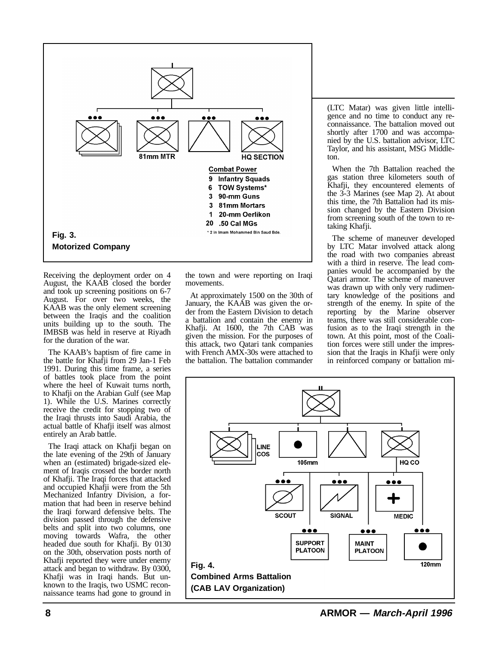

Receiving the deployment order on 4 August, the KAAB closed the border and took up screening positions on 6-7 August. For over two weeks, the KAAB was the only element screening between the Iraqis and the coalition units building up to the south. The IMBSB was held in reserve at Riyadh for the duration of the war.

The KAAB's baptism of fire came in the battle for Khafji from 29 Jan-1 Feb 1991. During this time frame, a series of battles took place from the point where the heel of Kuwait turns north, to Khafji on the Arabian Gulf (see Map 1). While the U.S. Marines correctly receive the credit for stopping two of the Iraqi thrusts into Saudi Arabia, the actual battle of Khafji itself was almost entirely an Arab battle.

The Iraqi attack on Khafji began on the late evening of the 29th of January when an (estimated) brigade-sized element of Iraqis crossed the border north of Khafji. The Iraqi forces that attacked and occupied Khafji were from the 5th Mechanized Infantry Division, a formation that had been in reserve behind the Iraqi forward defensive belts. The division passed through the defensive belts and split into two columns, one moving towards Wafra, the other headed due south for Khafji. By 0130 on the 30th, observation posts north of Khafji reported they were under enemy attack and began to withdraw. By 0300, Khafji was in Iraqi hands. But unknown to the Iraqis, two USMC reconnaissance teams had gone to ground in

the town and were reporting on Iraqi movements.

At approximately 1500 on the 30th of January, the KAAB was given the order from the Eastern Division to detach a battalion and contain the enemy in Khafji. At 1600, the 7th CAB was given the mission. For the purposes of this attack, two Qatari tank companies with French AMX-30s were attached to the battalion. The battalion commander

(LTC Matar) was given little intelligence and no time to conduct any reconnaissance. The battalion moved out shortly after 1700 and was accompanied by the U.S. battalion advisor, LTC Taylor, and his assistant, MSG Middleton.

When the 7th Battalion reached the gas station three kilometers south of Khafji, they encountered elements of the 3-3 Marines (see Map 2). At about this time, the 7th Battalion had its mission changed by the Eastern Division from screening south of the town to retaking Khafji.

The scheme of maneuver developed by LTC Matar involved attack along the road with two companies abreast with a third in reserve. The lead companies would be accompanied by the Qatari armor. The scheme of maneuver was drawn up with only very rudimentary knowledge of the positions and strength of the enemy. In spite of the reporting by the Marine observer teams, there was still considerable confusion as to the Iraqi strength in the town. At this point, most of the Coalition forces were still under the impression that the Iraqis in Khafji were only in reinforced company or battalion mi-

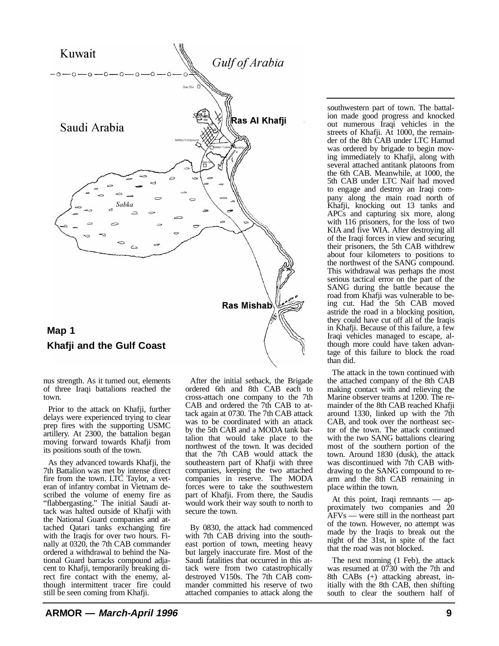

nus strength. As it turned out, elements

of three Iraqi battalions reached the

town.

Prior to the attack on Khafji, further delays were experienced trying to clear prep fires with the supporting USMC artillery. At 2300, the battalion began moving forward towards Khafji from its positions south of the town.

As they advanced towards Khafji, the 7th Battalion was met by intense direct fire from the town. LTC Taylor, a veteran of infantry combat in Vietnam described the volume of enemy fire as "flabbergasting." The initial Saudi attack was halted outside of Khafji with the National Guard companies and attached Qatari tanks exchanging fire with the Iraqis for over two hours. Finally at 0320, the 7th CAB commander ordered a withdrawal to behind the National Guard barracks compound adjacent to Khafji, temporarily breaking direct fire contact with the enemy, although intermittent tracer fire could still be seen coming from Khafji.

After the initial setback, the Brigade ordered 6th and 8th CAB each to cross-attach one company to the 7th CAB and ordered the 7th CAB to attack again at 0730. The 7th CAB attack was to be coordinated with an attack by the 5th CAB and a MODA tank battalion that would take place to the northwest of the town. It was decided that the 7th CAB would attack the southeastern part of Khafji with three companies, keeping the two attached companies in reserve. The MODA forces were to take the southwestern part of Khafji. From there, the Saudis would work their way south to north to secure the town.

By 0830, the attack had commenced with 7th CAB driving into the southeast portion of town, meeting heavy but largely inaccurate fire. Most of the Saudi fatalities that occurred in this attack were from two catastrophically destroyed V150s. The 7th CAB commander committed his reserve of two attached companies to attack along the

southwestern part of town. The battalion made good progress and knocked out numerous Iraqi vehicles in the streets of Khafji. At 1000, the remainder of the 8th CAB under LTC Hamud was ordered by brigade to begin moving immediately to Khafji, along with several attached antitank platoons from the 6th CAB. Meanwhile, at 1000, the 5th CAB under LTC Naif had moved to engage and destroy an Iraqi company along the main road north of Khafji, knocking out 13 tanks and APCs and capturing six more, along with 116 prisoners, for the loss of two KIA and five WIA. After destroying all of the Iraqi forces in view and securing their prisoners, the 5th CAB withdrew about four kilometers to positions to the northwest of the SANG compound. This withdrawal was perhaps the most serious tactical error on the part of the SANG during the battle because the road from Khafji was vulnerable to being cut. Had the 5th CAB moved astride the road in a blocking position, they could have cut off all of the Iraqis in Khafji. Because of this failure, a few Iraqi vehicles managed to escape, although more could have taken advantage of this failure to block the road than did.

The attack in the town continued with the attached company of the 8th CAB making contact with and relieving the Marine observer teams at 1200. The remainder of the 8th CAB reached Khafji around 1330, linked up with the 7th CAB, and took over the northeast sector of the town. The attack continued with the two SANG battalions clearing most of the southern portion of the town. Around 1830 (dusk), the attack was discontinued with 7th CAB withdrawing to the SANG compound to rearm and the 8th CAB remaining in place within the town.

At this point, Iraqi remnants — approximately two companies and 20 AFVs — were still in the northeast part of the town. However, no attempt was made by the Iraqis to break out the night of the 31st, in spite of the fact that the road was not blocked.

The next morning (1 Feb), the attack was resumed at 0730 with the 7th and 8th CABs (+) attacking abreast, initially with the 8th CAB, then shifting south to clear the southern half of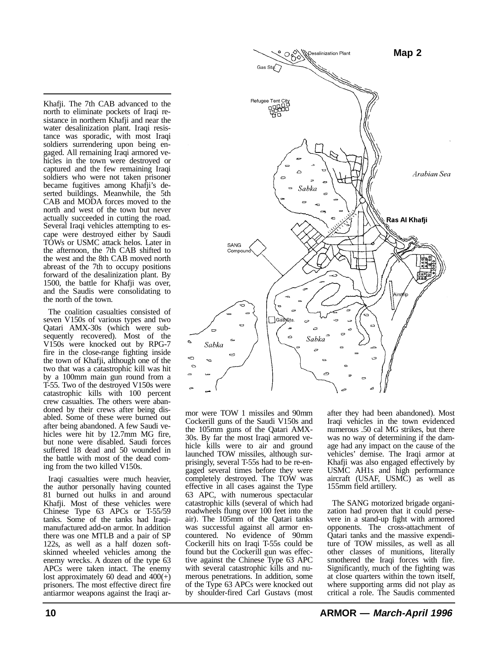Khafji. The 7th CAB advanced to the north to eliminate pockets of Iraqi resistance in northern Khafji and near the water desalinization plant. Iraqi resistance was sporadic, with most Iraqi soldiers surrendering upon being engaged. All remaining Iraqi armored vehicles in the town were destroyed or captured and the few remaining Iraqi soldiers who were not taken prisoner became fugitives among Khafji's deserted buildings. Meanwhile, the 5th CAB and MODA forces moved to the north and west of the town but never actually succeeded in cutting the road. Several Iraqi vehicles attempting to escape were destroyed either by Saudi TOWs or USMC attack helos. Later in the afternoon, the 7th CAB shifted to the west and the 8th CAB moved north abreast of the 7th to occupy positions forward of the desalinization plant. By 1500, the battle for Khafji was over, and the Saudis were consolidating to the north of the town.

The coalition casualties consisted of seven V150s of various types and two Qatari AMX-30s (which were subsequently recovered). Most of the V150s were knocked out by RPG-7 fire in the close-range fighting inside the town of Khafji, although one of the two that was a catastrophic kill was hit by a 100mm main gun round from a T-55. Two of the destroyed V150s were catastrophic kills with 100 percent crew casualties. The others were abandoned by their crews after being disabled. Some of these were burned out after being abandoned. A few Saudi vehicles were hit by 12.7mm MG fire, but none were disabled. Saudi forces suffered 18 dead and 50 wounded in the battle with most of the dead coming from the two killed V150s.

Iraqi casualties were much heavier, the author personally having counted 81 burned out hulks in and around Khafji. Most of these vehicles were Chinese Type 63 APCs or T-55/59 tanks. Some of the tanks had Iraqimanufactured add-on armor. In addition there was one MTLB and a pair of SP 122s, as well as a half dozen softskinned wheeled vehicles among the enemy wrecks. A dozen of the type 63 APCs were taken intact. The enemy lost approximately 60 dead and  $400(+)$ prisoners. The most effective direct fire antiarmor weapons against the Iraqi ar-



mor were TOW 1 missiles and 90mm Cockerill guns of the Saudi V150s and the 105mm guns of the Qatari AMX-30s. By far the most Iraqi armored vehicle kills were to air and ground launched TOW missiles, although surprisingly, several T-55s had to be re-engaged several times before they were completely destroyed. The TOW was effective in all cases against the Type 63 APC, with numerous spectacular catastrophic kills (several of which had roadwheels flung over 100 feet into the air). The 105mm of the Qatari tanks was successful against all armor encountered. No evidence of 90mm Cockerill hits on Iraqi T-55s could be found but the Cockerill gun was effective against the Chinese Type 63 APC with several catastrophic kills and numerous penetrations. In addition, some of the Type 63 APCs were knocked out by shoulder-fired Carl Gustavs (most after they had been abandoned). Most Iraqi vehicles in the town evidenced numerous .50 cal MG strikes, but there was no way of determining if the damage had any impact on the cause of the vehicles' demise. The Iraqi armor at Khafji was also engaged effectively by USMC AH1s and high performance aircraft (USAF, USMC) as well as 155mm field artillery.

The SANG motorized brigade organization had proven that it could persevere in a stand-up fight with armored opponents. The cross-attachment of Qatari tanks and the massive expenditure of TOW missiles, as well as all other classes of munitions, literally smothered the Iraqi forces with fire. Significantly, much of the fighting was at close quarters within the town itself, where supporting arms did not play as critical a role. The Saudis commented